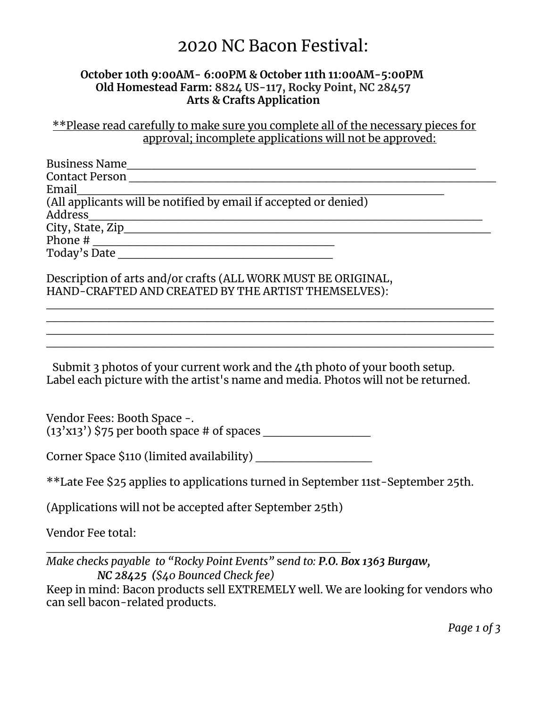## 2020 NC Bacon Festival:

## **October 10th 9:00AM- 6:00PM & October 11th 11:00AM-5:00PM Old Homestead Farm: 8824 US-117, Rocky Point, NC 28457 Arts & Crafts Application**

\*\*Please read carefully to make sure you complete all of the necessary pieces for approval; incomplete applications will not be approved:

| <b>Business Name</b>                                             |  |
|------------------------------------------------------------------|--|
| <b>Contact Person</b>                                            |  |
| Email                                                            |  |
| (All applicants will be notified by email if accepted or denied) |  |
| Address                                                          |  |
| City, State, Zip____                                             |  |
| Phone #                                                          |  |
| Today's Date                                                     |  |

\_\_\_\_\_\_\_\_\_\_\_\_\_\_\_\_\_\_\_\_\_\_\_\_\_\_\_\_\_\_\_\_\_\_\_\_\_\_\_\_\_\_\_\_\_\_\_\_\_\_ \_\_\_\_\_\_\_\_\_\_\_\_\_\_\_\_\_\_\_\_\_\_\_\_\_\_\_\_\_\_\_\_\_\_\_\_\_\_\_\_\_\_\_\_\_\_\_\_\_\_ \_\_\_\_\_\_\_\_\_\_\_\_\_\_\_\_\_\_\_\_\_\_\_\_\_\_\_\_\_\_\_\_\_\_\_\_\_\_\_\_\_\_\_\_\_\_\_\_\_\_ \_\_\_\_\_\_\_\_\_\_\_\_\_\_\_\_\_\_\_\_\_\_\_\_\_\_\_\_\_\_\_\_\_\_\_\_\_\_\_\_\_\_\_\_\_\_\_\_\_\_

Description of arts and/or crafts (ALL WORK MUST BE ORIGINAL, HAND-CRAFTED AND CREATED BY THE ARTIST THEMSELVES):

Submit 3 photos of your current work and the 4th photo of your booth setup. Label each picture with the artist's name and media. Photos will not be returned.

Vendor Fees: Booth Space -.  $(13'x13')$  \$75 per booth space # of spaces

Corner Space \$110 (limited availability)

\*\*Late Fee \$25 applies to applications turned in September 11st-September 25th.

(Applications will not be accepted after September 25th)

\_\_\_\_\_\_\_\_\_\_\_\_\_\_\_\_\_\_\_\_\_\_\_\_\_\_\_\_\_\_\_\_\_\_

Vendor Fee total:

*Make checks payable to "Rocky Point Events"* s*end to: P.O. Box 1363 Burgaw, NC 28425 (\$40 Bounced Check fee)* Keep in mind: Bacon products sell EXTREMELY well. We are looking for vendors who can sell bacon-related products.

*Page 1 of 3*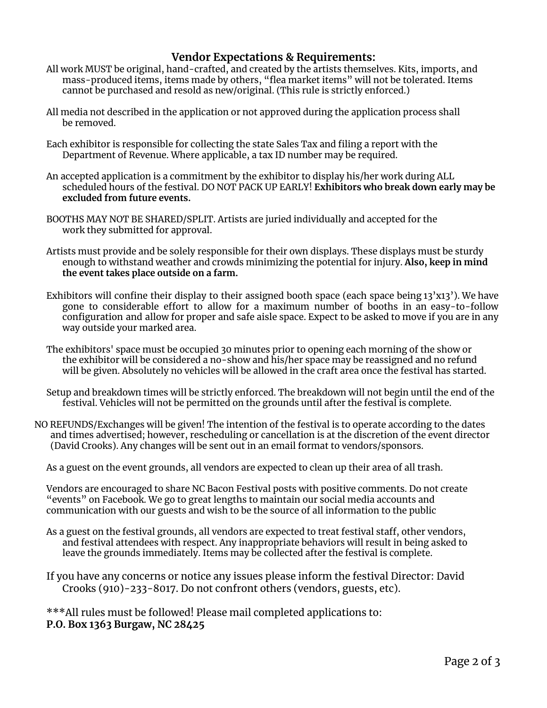## **Vendor Expectations & Requirements:**

- All work MUST be original, hand-crafted, and created by the artists themselves. Kits, imports, and mass-produced items, items made by others, "flea market items" will not be tolerated. Items cannot be purchased and resold as new/original. (This rule is strictly enforced.)
- All media not described in the application or not approved during the application process shall be removed.
- Each exhibitor is responsible for collecting the state Sales Tax and filing a report with the Department of Revenue. Where applicable, a tax ID number may be required.
- An accepted application is a commitment by the exhibitor to display his/her work during ALL scheduled hours of the festival. DO NOT PACK UP EARLY! **Exhibitors who break down early may be excluded from future events.**
- BOOTHS MAY NOT BE SHARED/SPLIT. Artists are juried individually and accepted for the work they submitted for approval.
- Artists must provide and be solely responsible for their own displays. These displays must be sturdy enough to withstand weather and crowds minimizing the potential for injury. **Also, keep in mind the event takes place outside on a farm.**
- Exhibitors will confine their display to their assigned booth space (each space being 13'x13'). We have gone to considerable effort to allow for a maximum number of booths in an easy-to-follow configuration and allow for proper and safe aisle space. Expect to be asked to move if you are in any way outside your marked area.
- The exhibitors' space must be occupied 30 minutes prior to opening each morning of the show or the exhibitor will be considered a no-show and his/her space may be reassigned and no refund will be given. Absolutely no vehicles will be allowed in the craft area once the festival has started.
- Setup and breakdown times will be strictly enforced. The breakdown will not begin until the end of the festival. Vehicles will not be permitted on the grounds until after the festival is complete.
- NO REFUNDS/Exchanges will be given! The intention of the festival is to operate according to the dates and times advertised; however, rescheduling or cancellation is at the discretion of the event director (David Crooks). Any changes will be sent out in an email format to vendors/sponsors.

As a guest on the event grounds, all vendors are expected to clean up their area of all trash.

Vendors are encouraged to share NC Bacon Festival posts with positive comments. Do not create "events" on Facebook. We go to great lengths to maintain our social media accounts and communication with our guests and wish to be the source of all information to the public

- As a guest on the festival grounds, all vendors are expected to treat festival staff, other vendors, and festival attendees with respect. Any inappropriate behaviors will result in being asked to leave the grounds immediately. Items may be collected after the festival is complete.
- If you have any concerns or notice any issues please inform the festival Director: David Crooks (910)-233-8017. Do not confront others (vendors, guests, etc).

\*\*\*All rules must be followed! Please mail completed applications to: **P.O. Box 1363 Burgaw, NC 28425**